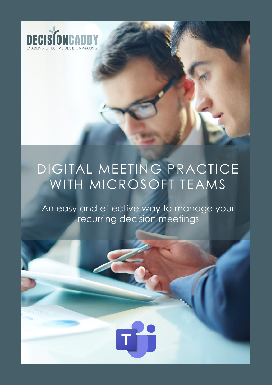

### DIGITAL MEETING PRACTICE WITH MICROSOFT TEAMS

An easy and effective way to manage your recurring decision meetings

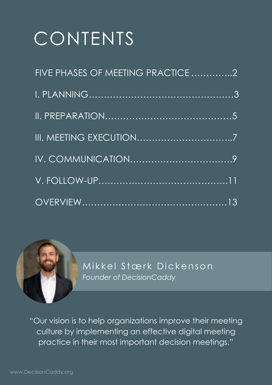# CONTENTS

| FIVE PHASES OF MEETING PRACTICE2 |  |
|----------------------------------|--|
|                                  |  |
|                                  |  |
|                                  |  |
|                                  |  |
|                                  |  |
|                                  |  |



Mikkel Stærk Dickenson *Founder of DecisionCaddy*

"Our vision is to help organizations improve their meeting culture by implementing an effective digital meeting practice in their most important decision meetings."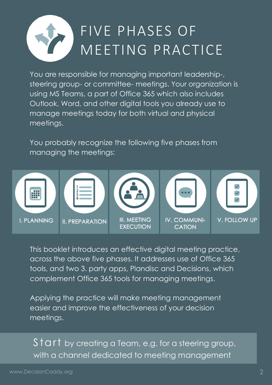

### FIVE PHASES OF MEETING PRACTICE

You are responsible for managing important leadership-, steering group- or committee- meetings. Your organization is using MS Teams, a part of Office 365 which also includes Outlook, Word, and other digital tools you already use to manage meetings today for both virtual and physical meetings.

You probably recognize the following five phases from managing the meetings:



This booklet introduces an effective digital meeting practice, across the above five phases. It addresses use of Office 365 tools, and two 3. party apps, Plandisc and Decisions, which complement Office 365 tools for managing meetings.

Applying the practice will make meeting management easier and improve the effectiveness of your decision meetings.

 $Star\bar{t}$  by creating a Team, e.g. for a steering group, with a channel dedicated to meeting management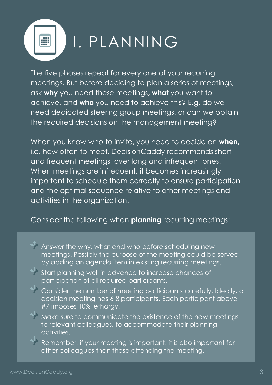

The five phases repeat for every one of your recurring meetings. But before deciding to plan a series of meetings, ask **why** you need these meetings, **what** you want to achieve, and **who** you need to achieve this? E.g. do we need dedicated steering group meetings, or can we obtain the required decisions on the management meeting?

When you know who to invite, you need to decide on **when,** i.e. how often to meet. DecisionCaddy recommends short and frequent meetings, over long and infrequent ones. When meetings are infrequent, it becomes increasingly important to schedule them correctly to ensure participation and the optimal sequence relative to other meetings and activities in the organization.

Consider the following when **planning** recurring meetings:

Answer the why, what and who before scheduling new meetings. Possibly the purpose of the meeting could be served by adding an agenda item in existing recurring meetings.

Start planning well in advance to increase chances of participation of all required participants.

Consider the number of meeting participants carefully. Ideally, a decision meeting has 6-8 participants. Each participant above #7 imposes 10% lethargy.

Make sure to communicate the existence of the new meetings to relevant colleagues, to accommodate their planning activities.

Remember, if your meeting is important, it is also important for other colleagues than those attending the meeting.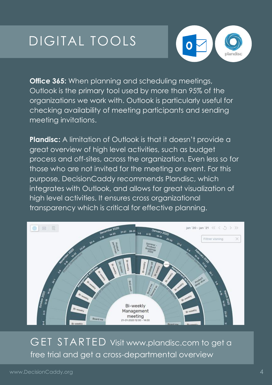

**Office 365:** When planning and scheduling meetings, Outlook is the primary tool used by more than 95% of the organizations we work with. Outlook is particularly useful for checking availability of meeting participants and sending meeting invitations.

**Plandisc:** A limitation of Outlook is that it doesn't provide a great overview of high level activities, such as budget process and off-sites, across the organization. Even less so for those who are not invited for the meeting or event. For this purpose, DecisionCaddy recommends Plandisc, which integrates with Outlook, and allows for great visualization of high level activities. It ensures cross organizational transparency which is critical for effective planning.



GET STARTED Visit www.plandisc.com to get a free trial and get a cross-departmental overview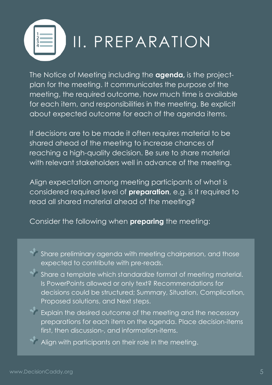

## II. PREPARATION

The Notice of Meeting including the **agenda,** is the projectplan for the meeting. It communicates the purpose of the meeting, the required outcome, how much time is available for each item, and responsibilities in the meeting. Be explicit about expected outcome for each of the agenda items.

If decisions are to be made it often requires material to be shared ahead of the meeting to increase chances of reaching a high-quality decision. Be sure to share material with relevant stakeholders well in advance of the meeting.

Align expectation among meeting participants of what is considered required level of **preparation**, e.g. is it required to read all shared material ahead of the meeting?

Consider the following when **preparing** the meeting:



Share a template which standardize format of meeting material. Is PowerPoints allowed or only text? Recommendations for decisions could be structured; Summary, Situation, Complication, Proposed solutions, and Next steps.



Align with participants on their role in the meeting.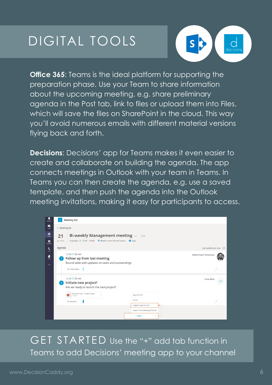

**Office 365**: Teams is the ideal platform for supporting the preparation phase. Use your Team to share information about the upcoming meeting, e.g. share preliminary agenda in the Post tab, link to files or upload them into Files, which will save the files on SharePoint in the cloud. This way you'll avoid numerous emails with different material versions flying back and forth.

**Decisions**: Decisions' app for Teams makes it even easier to create and collaborate on building the agenda. The app connects meetings in Outlook with your team in Teams. In Teams you can then create the agenda, e.g. use a saved template, and then push the agenda into the Outlook meeting invitations, making it easy for participants to access.

| $\frac{1}{\lambda \sin \theta}$ | Meeting-list                                                                                                                      |                                                                               |  |  |
|---------------------------------|-----------------------------------------------------------------------------------------------------------------------------------|-------------------------------------------------------------------------------|--|--|
| 日<br><b>Out</b>                 | < Meeting-list                                                                                                                    |                                                                               |  |  |
| 44<br>Tearrs<br>▩<br>Calendar   | Bi-weekly Management meeting $\vee$<br>21<br>Draft<br>Tuesday ( 12.00 - 14.00<br>• Meetin room IX and Teams<br>• Join<br>Jan 2020 |                                                                               |  |  |
| $\cdot$<br>cals.                | Agenda                                                                                                                            | Last update just now $\frac{1}{2}$ 1                                          |  |  |
| $\frac{4}{100}$                 | 12.00 <b>30 min</b><br>Follow up from last meeting<br>Round table with updates on tasks and outstandings                          | Mikkel Stærk Dickenson                                                        |  |  |
| $\cdots$                        | For Information                                                                                                                   | n.<br>$\cdots$                                                                |  |  |
|                                 | 12.30 <sup>O</sup> 45 min<br>Initiate new project?<br>Are we ready to launch the next project?                                    | Carla Bello<br>CB                                                             |  |  |
|                                 | Business Case - Project Z.pptx<br>$\sim$<br>ß.<br>O bytes<br>For Decision                                                         | Agenda item<br>Broak<br>1<br>1.1444                                           |  |  |
|                                 |                                                                                                                                   | Suggest agenda item<br>Import from Meeting Planner<br>$+$ ADD<br>$\checkmark$ |  |  |

GET STARTED Use the "+" add tab function in Teams to add Decisions' meeting app to your channel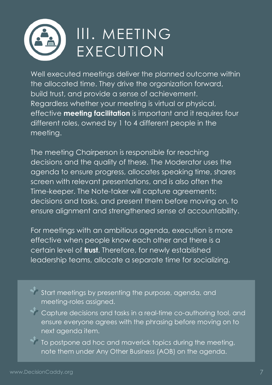## III. MEETING EXECUTION

Well executed meetings deliver the planned outcome within the allocated time. They drive the organization forward, build trust, and provide a sense of achievement. Regardless whether your meeting is virtual or physical, effective **meeting facilitation** is important and it requires four different roles, owned by 1 to 4 different people in the meeting.

The meeting Chairperson is responsible for reaching decisions and the quality of these. The Moderator uses the agenda to ensure progress, allocates speaking time, shares screen with relevant presentations, and is also often the Time-keeper. The Note-taker will capture agreements; decisions and tasks, and present them before moving on, to ensure alignment and strengthened sense of accountability.

For meetings with an ambitious agenda, execution is more effective when people know each other and there is a certain level of **trust**. Therefore, for newly established leadership teams, allocate a separate time for socializing.

- $\mathbb{R}$  Start meetings by presenting the purpose, agenda, and meeting-roles assigned.
- Capture decisions and tasks in a real-time co-authoring tool, and ensure everyone agrees with the phrasing before moving on to next agenda item.
- To postpone ad hoc and maverick topics during the meeting, note them under Any Other Business (AOB) on the agenda.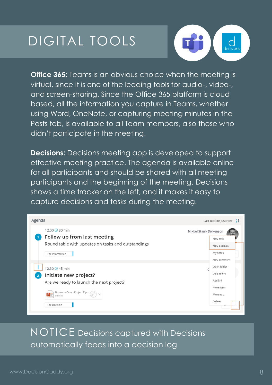

**Office 365:** Teams is an obvious choice when the meeting is virtual, since it is one of the leading tools for audio-, video-, and screen-sharing. Since the Office 365 platform is cloud based, all the information you capture in Teams, whether using Word, OneNote, or capturing meeting minutes in the Posts tab, is available to all Team members, also those who didn't participate in the meeting.

**Decisions:** Decisions meeting app is developed to support effective meeting practice. The agenda is available online for all participants and should be shared with all meeting participants and the beginning of the meeting. Decisions shows a time tracker on the left, and it makes it easy to capture decisions and tasks during the meeting.



NOTICE Decisions captured with Decisions automatically feeds into a decision log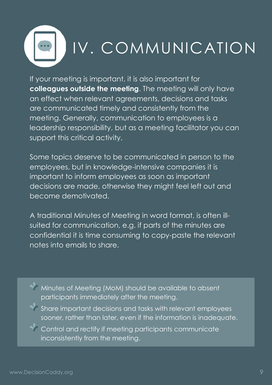

If your meeting is important, it is also important for **colleagues outside the meeting**. The meeting will only have an effect when relevant agreements, decisions and tasks are communicated timely and consistently from the meeting. Generally, communication to employees is a leadership responsibility, but as a meeting facilitator you can support this critical activity.

Some topics deserve to be communicated in person to the employees, but in knowledge-intensive companies it is important to inform employees as soon as important decisions are made, otherwise they might feel left out and become demotivated.

A traditional Minutes of Meeting in word format, is often illsuited for communication, e.g. if parts of the minutes are confidential it is time consuming to copy-paste the relevant notes into emails to share.



- Share important decisions and tasks with relevant employees sooner, rather than later, even if the information is inadequate.
- Control and rectify if meeting participants communicate inconsistently from the meeting.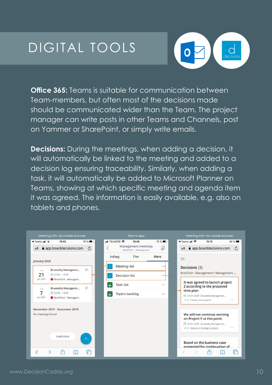

**Office 365:** Teams is suitable for communication between Team-members, but often most of the decisions made should be communicated wider than the Team. The project manager can write posts in other Teams and Channels, post on Yammer or SharePoint, or simply write emails.

**Decisions:** During the meetings, when adding a decision, it will automatically be linked to the meeting and added to a decision log ensuring traceability. Similarly, when adding a task, it will automatically be added to Microsoft Planner on Teams, showing at which specific meeting and agenda item it was agreed. The information is easily available, e.g. also on tablets and phones.

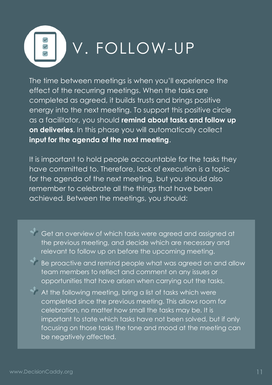

The time between meetings is when you'll experience the effect of the recurring meetings. When the tasks are completed as agreed, it builds trusts and brings positive energy into the next meeting. To support this positive circle as a facilitator, you should **remind about tasks and follow up on deliveries**. In this phase you will automatically collect **input for the agenda of the next meeting**.

It is important to hold people accountable for the tasks they have committed to. Therefore, lack of execution is a topic for the agenda of the next meeting, but you should also remember to celebrate all the things that have been achieved. Between the meetings, you should:

- Get an overview of which tasks were agreed and assigned at the previous meeting, and decide which are necessary and relevant to follow up on before the upcoming meeting.
- Be proactive and remind people what was agreed on and allow team members to reflect and comment on any issues or opportunities that have arisen when carrying out the tasks.
	- At the following meeting, bring a list of tasks which were completed since the previous meeting. This allows room for celebration, no matter how small the tasks may be. It is important to state which tasks have not been solved, but if only focusing on those tasks the tone and mood at the meeting can be negatively affected.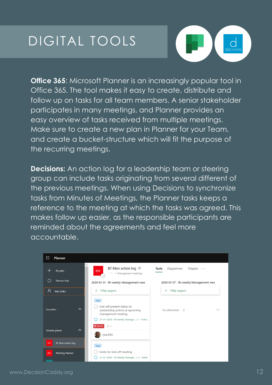

**Office 365**: Microsoft Planner is an increasingly popular tool in Office 365. The tool makes it easy to create, distribute and follow up on tasks for all team members. A senior stakeholder participates in many meetings, and Planner provides an easy overview of tasks received from multiple meetings. Make sure to create a new plan in Planner for your Team, and create a bucket-structure which will fit the purpose of the recurring meetings.

**Decisions:** An action log for a leadership team or steering group can include tasks originating from several different of the previous meetings. When using Decisions to synchronize tasks from Minutes of Meetings, the Planner tasks keeps a reference to the meeting at which the tasks was agreed. This makes follow up easier, as the responsible participants are reminded about the agreements and feel more accountable.

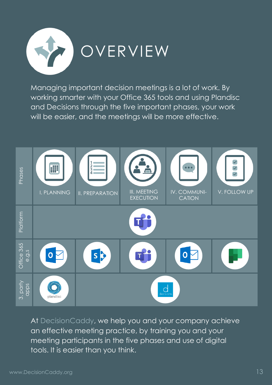

Managing important decision meetings is a lot of work. By working smarter with your Office 365 tools and using Plandisc and Decisions through the five important phases, your work will be easier, and the meetings will be more effective.



At [DecisionCaddy,](https://www.decisioncaddy.org/) we help you and your company achieve an effective meeting practice, by training you and your meeting participants in the five phases and use of digital tools. It is easier than you think.